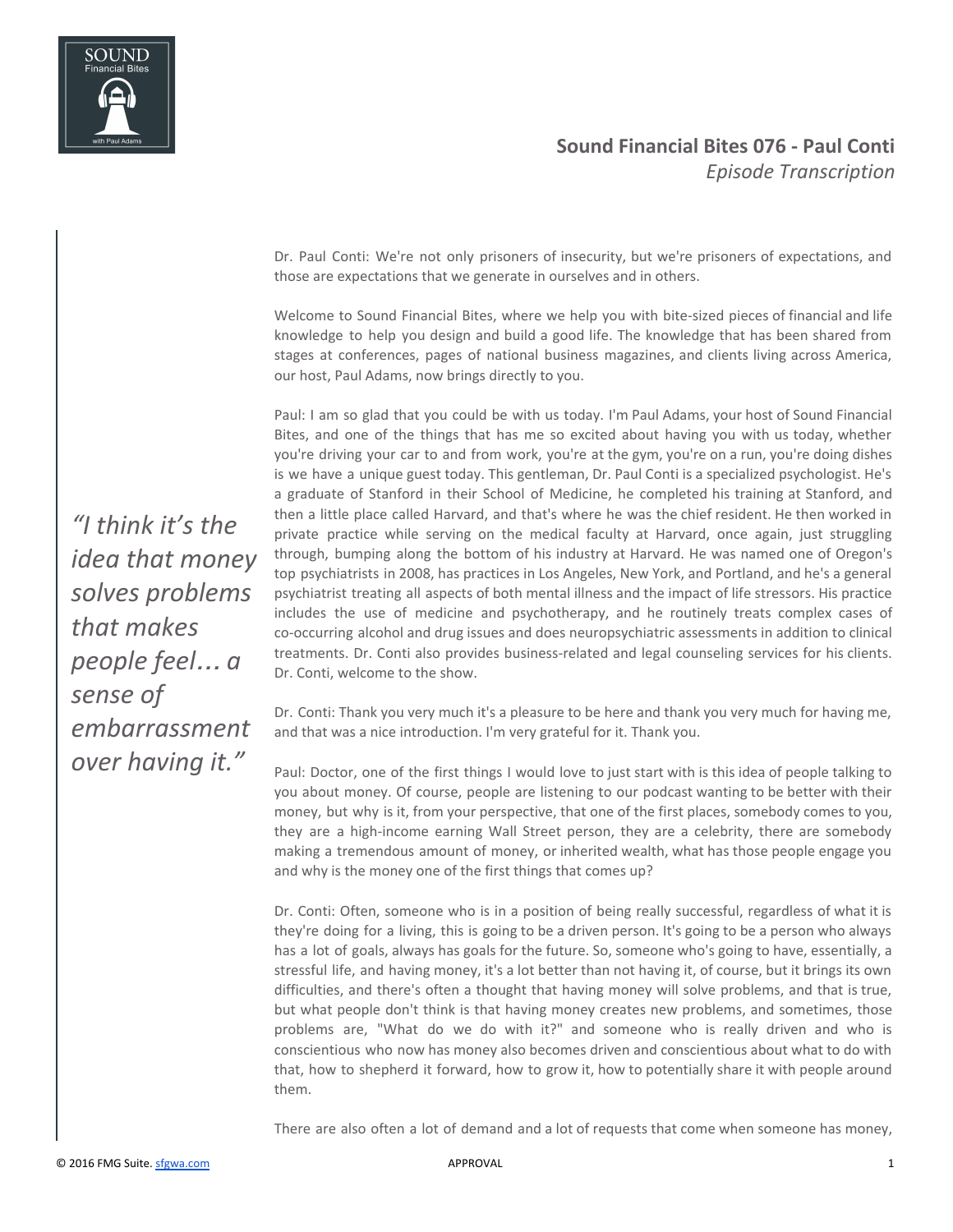

Dr. Paul Conti: We're not only prisoners of insecurity, but we're prisoners of expectations, and those are expectations that we generate in ourselves and in others.

Welcome to Sound Financial Bites, where we help you with bite-sized pieces of financial and life knowledge to help you design and build a good life. The knowledge that has been shared from stages at conferences, pages of national business magazines, and clients living across America, our host, Paul Adams, now brings directly to you.

Paul: I am so glad that you could be with us today. I'm Paul Adams, your host of Sound Financial Bites, and one of the things that has me so excited about having you with us today, whether you're driving your car to and from work, you're at the gym, you're on a run, you're doing dishes is we have a unique guest today. This gentleman, Dr. Paul Conti is a specialized psychologist. He's a graduate of Stanford in their School of Medicine, he completed his training at Stanford, and then a little place called Harvard, and that's where he was the chief resident. He then worked in private practice while serving on the medical faculty at Harvard, once again, just struggling through, bumping along the bottom of his industry at Harvard. He was named one of Oregon's top psychiatrists in 2008, has practices in Los Angeles, New York, and Portland, and he's a general psychiatrist treating all aspects of both mental illness and the impact of life stressors. His practice includes the use of medicine and psychotherapy, and he routinely treats complex cases of co-occurring alcohol and drug issues and does neuropsychiatric assessments in addition to clinical treatments. Dr. Conti also provides business-related and legal counseling services for his clients. Dr. Conti, welcome to the show.

Dr. Conti: Thank you very much it's a pleasure to be here and thank you very much for having me, and that was a nice introduction. I'm very grateful for it. Thank you.

Paul: Doctor, one of the first things I would love to just start with is this idea of people talking to you about money. Of course, people are listening to our podcast wanting to be better with their money, but why is it, from your perspective, that one of the first places, somebody comes to you, they are a high-income earning Wall Street person, they are a celebrity, there are somebody making a tremendous amount of money, or inherited wealth, what has those people engage you and why is the money one of the first things that comes up?

Dr. Conti: Often, someone who is in a position of being really successful, regardless of what it is they're doing for a living, this is going to be a driven person. It's going to be a person who always has a lot of goals, always has goals for the future. So, someone who's going to have, essentially, a stressful life, and having money, it's a lot better than not having it, of course, but it brings its own difficulties, and there's often a thought that having money will solve problems, and that is true, but what people don't think is that having money creates new problems, and sometimes, those problems are, "What do we do with it?" and someone who is really driven and who is conscientious who now has money also becomes driven and conscientious about what to do with that, how to shepherd it forward, how to grow it, how to potentially share it with people around them.

There are also often a lot of demand and a lot of requests that come when someone has money,

*"I think it's the idea that money solves problems that makes people feel*… *a sense of embarrassment over having it."*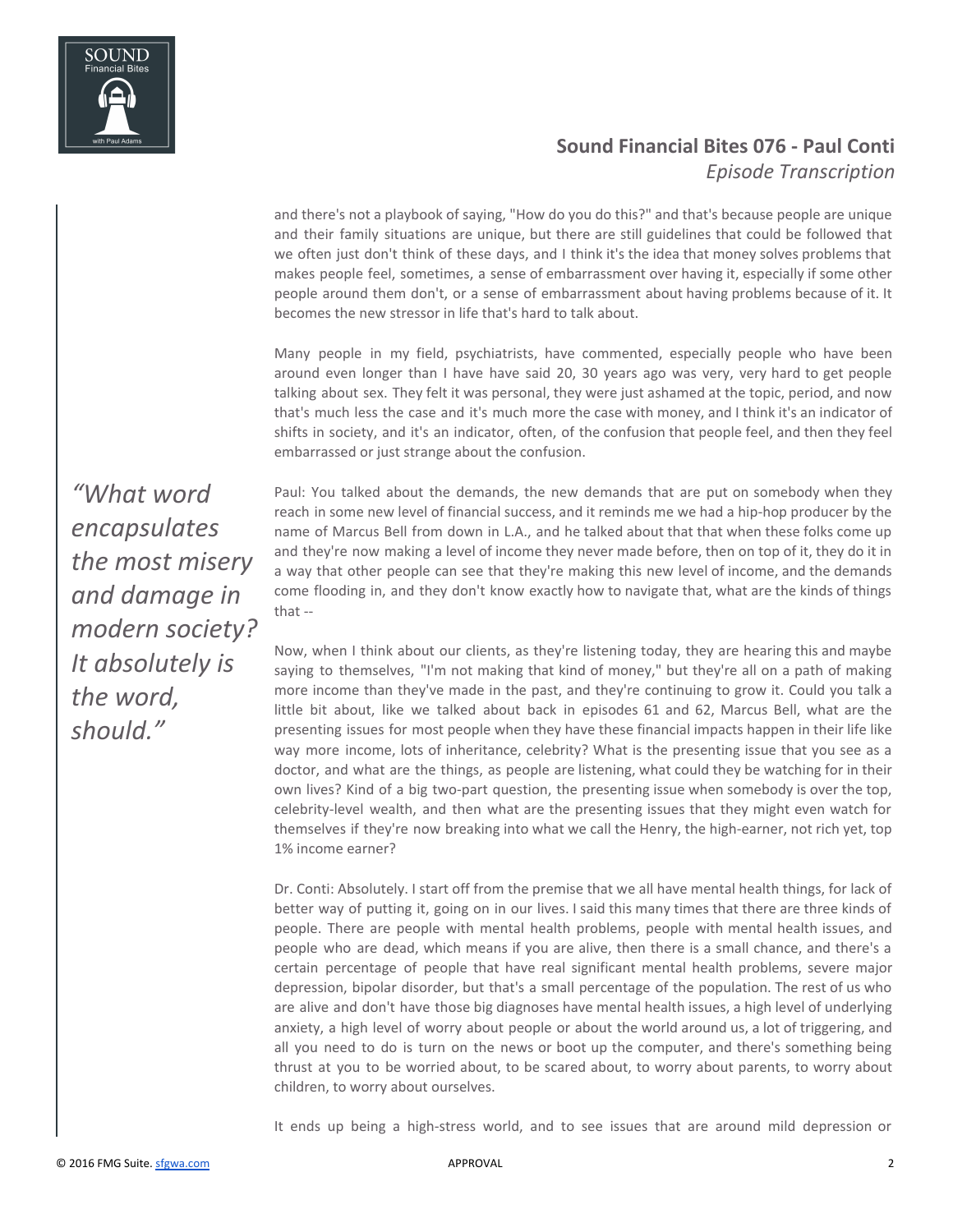

and there's not a playbook of saying, "How do you do this?" and that's because people are unique and their family situations are unique, but there are still guidelines that could be followed that we often just don't think of these days, and I think it's the idea that money solves problems that makes people feel, sometimes, a sense of embarrassment over having it, especially if some other people around them don't, or a sense of embarrassment about having problems because of it. It becomes the new stressor in life that's hard to talk about.

Many people in my field, psychiatrists, have commented, especially people who have been around even longer than I have have said 20, 30 years ago was very, very hard to get people talking about sex. They felt it was personal, they were just ashamed at the topic, period, and now that's much less the case and it's much more the case with money, and I think it's an indicator of shifts in society, and it's an indicator, often, of the confusion that people feel, and then they feel embarrassed or just strange about the confusion.

*"What word encapsulates the most misery and damage in modern society? It absolutely is the word, should."*

Paul: You talked about the demands, the new demands that are put on somebody when they reach in some new level of financial success, and it reminds me we had a hip-hop producer by the name of Marcus Bell from down in L.A., and he talked about that that when these folks come up and they're now making a level of income they never made before, then on top of it, they do it in a way that other people can see that they're making this new level of income, and the demands come flooding in, and they don't know exactly how to navigate that, what are the kinds of things that --

Now, when I think about our clients, as they're listening today, they are hearing this and maybe saying to themselves, "I'm not making that kind of money," but they're all on a path of making more income than they've made in the past, and they're continuing to grow it. Could you talk a little bit about, like we talked about back in episodes 61 and 62, Marcus Bell, what are the presenting issues for most people when they have these financial impacts happen in their life like way more income, lots of inheritance, celebrity? What is the presenting issue that you see as a doctor, and what are the things, as people are listening, what could they be watching for in their own lives? Kind of a big two-part question, the presenting issue when somebody is over the top, celebrity-level wealth, and then what are the presenting issues that they might even watch for themselves if they're now breaking into what we call the Henry, the high-earner, not rich yet, top 1% income earner?

Dr. Conti: Absolutely. I start off from the premise that we all have mental health things, for lack of better way of putting it, going on in our lives. I said this many times that there are three kinds of people. There are people with mental health problems, people with mental health issues, and people who are dead, which means if you are alive, then there is a small chance, and there's a certain percentage of people that have real significant mental health problems, severe major depression, bipolar disorder, but that's a small percentage of the population. The rest of us who are alive and don't have those big diagnoses have mental health issues, a high level of underlying anxiety, a high level of worry about people or about the world around us, a lot of triggering, and all you need to do is turn on the news or boot up the computer, and there's something being thrust at you to be worried about, to be scared about, to worry about parents, to worry about children, to worry about ourselves.

It ends up being a high-stress world, and to see issues that are around mild depression or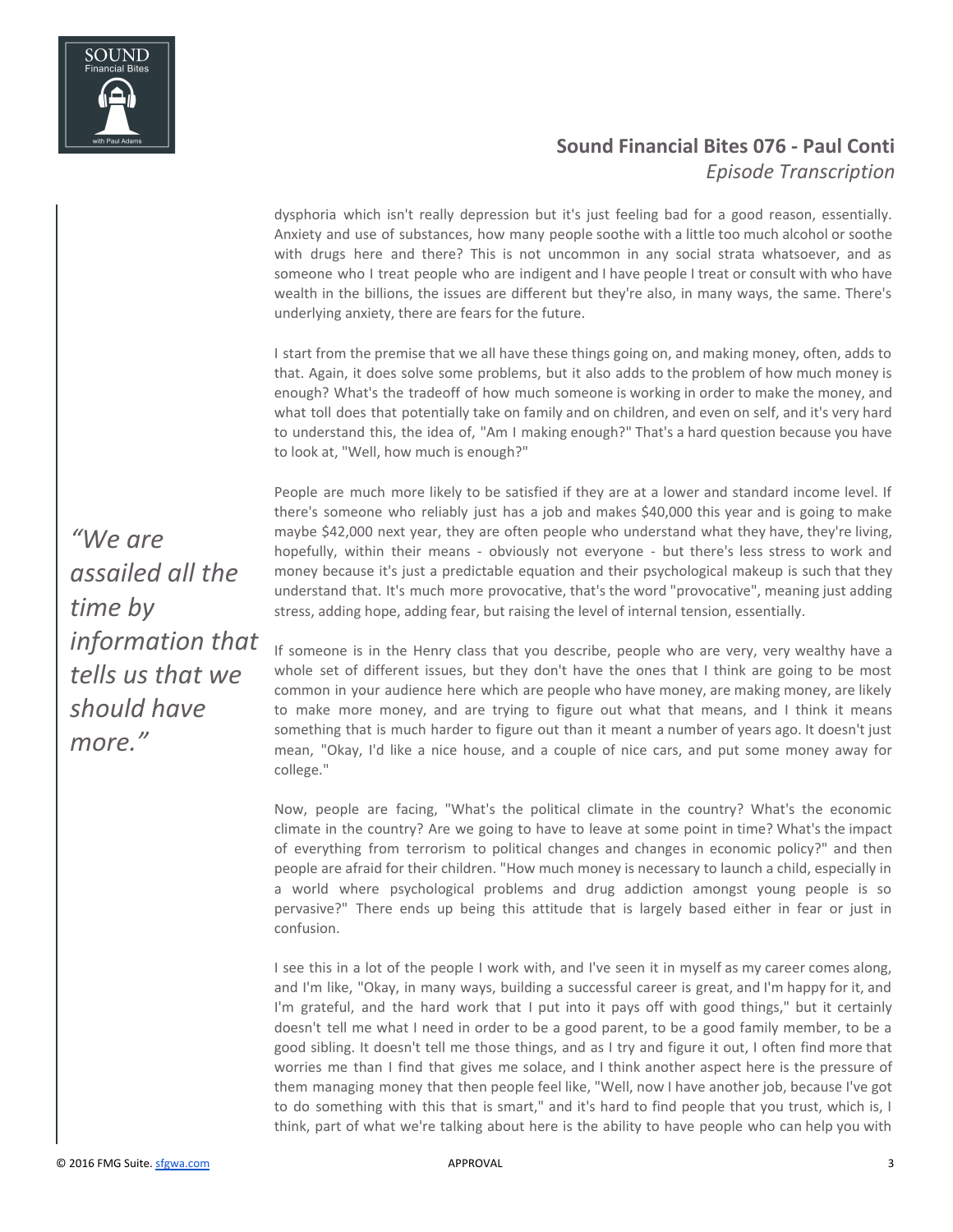

dysphoria which isn't really depression but it's just feeling bad for a good reason, essentially. Anxiety and use of substances, how many people soothe with a little too much alcohol or soothe with drugs here and there? This is not uncommon in any social strata whatsoever, and as someone who I treat people who are indigent and I have people I treat or consult with who have wealth in the billions, the issues are different but they're also, in many ways, the same. There's underlying anxiety, there are fears for the future.

I start from the premise that we all have these things going on, and making money, often, adds to that. Again, it does solve some problems, but it also adds to the problem of how much money is enough? What's the tradeoff of how much someone is working in order to make the money, and what toll does that potentially take on family and on children, and even on self, and it's very hard to understand this, the idea of, "Am I making enough?" That's a hard question because you have to look at, "Well, how much is enough?"

People are much more likely to be satisfied if they are at a lower and standard income level. If there's someone who reliably just has a job and makes \$40,000 this year and is going to make maybe \$42,000 next year, they are often people who understand what they have, they're living, hopefully, within their means - obviously not everyone - but there's less stress to work and money because it's just a predictable equation and their psychological makeup is such that they understand that. It's much more provocative, that's the word "provocative", meaning just adding stress, adding hope, adding fear, but raising the level of internal tension, essentially.

If someone is in the Henry class that you describe, people who are very, very wealthy have a whole set of different issues, but they don't have the ones that I think are going to be most common in your audience here which are people who have money, are making money, are likely to make more money, and are trying to figure out what that means, and I think it means something that is much harder to figure out than it meant a number of years ago. It doesn't just mean, "Okay, I'd like a nice house, and a couple of nice cars, and put some money away for college."

Now, people are facing, "What's the political climate in the country? What's the economic climate in the country? Are we going to have to leave at some point in time? What's the impact of everything from terrorism to political changes and changes in economic policy?" and then people are afraid for their children. "How much money is necessary to launch a child, especially in a world where psychological problems and drug addiction amongst young people is so pervasive?" There ends up being this attitude that is largely based either in fear or just in confusion.

I see this in a lot of the people I work with, and I've seen it in myself as my career comes along, and I'm like, "Okay, in many ways, building a successful career is great, and I'm happy for it, and I'm grateful, and the hard work that I put into it pays off with good things," but it certainly doesn't tell me what I need in order to be a good parent, to be a good family member, to be a good sibling. It doesn't tell me those things, and as I try and figure it out, I often find more that worries me than I find that gives me solace, and I think another aspect here is the pressure of them managing money that then people feel like, "Well, now I have another job, because I've got to do something with this that is smart," and it's hard to find people that you trust, which is, I think, part of what we're talking about here is the ability to have people who can help you with

*"We are assailed all the time by information that tells us that we should have more."*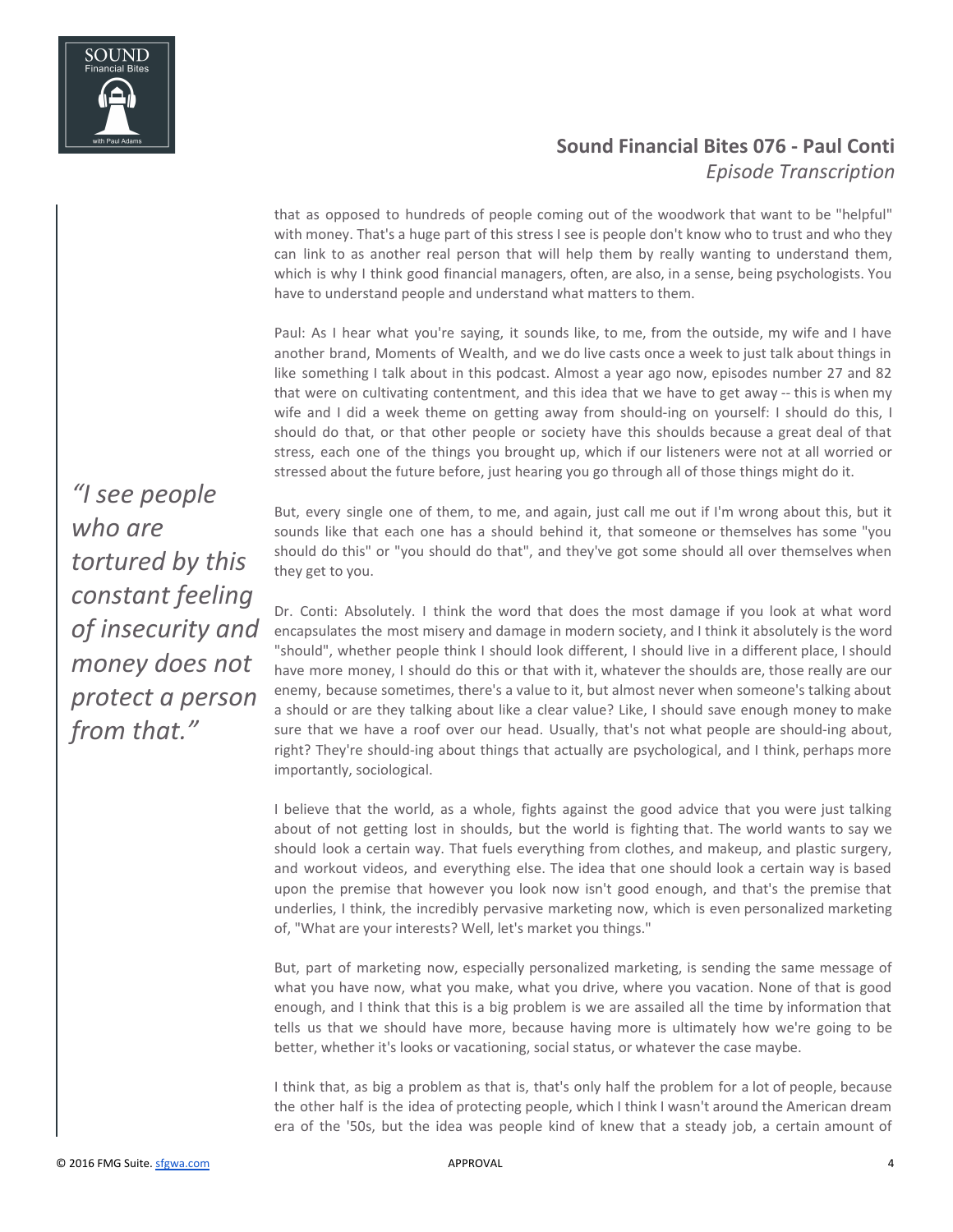

that as opposed to hundreds of people coming out of the woodwork that want to be "helpful" with money. That's a huge part of this stress I see is people don't know who to trust and who they can link to as another real person that will help them by really wanting to understand them, which is why I think good financial managers, often, are also, in a sense, being psychologists. You have to understand people and understand what matters to them.

Paul: As I hear what you're saying, it sounds like, to me, from the outside, my wife and I have another brand, Moments of Wealth, and we do live casts once a week to just talk about things in like something I talk about in this podcast. Almost a year ago now, episodes number 27 and 82 that were on cultivating contentment, and this idea that we have to get away -- this is when my wife and I did a week theme on getting away from should-ing on yourself: I should do this, I should do that, or that other people or society have this shoulds because a great deal of that stress, each one of the things you brought up, which if our listeners were not at all worried or stressed about the future before, just hearing you go through all of those things might do it.

But, every single one of them, to me, and again, just call me out if I'm wrong about this, but it sounds like that each one has a should behind it, that someone or themselves has some "you should do this" or "you should do that", and they've got some should all over themselves when they get to you.

Dr. Conti: Absolutely. I think the word that does the most damage if you look at what word encapsulates the most misery and damage in modern society, and I think it absolutely is the word "should", whether people think I should look different, I should live in a different place, I should have more money, I should do this or that with it, whatever the shoulds are, those really are our enemy, because sometimes, there's a value to it, but almost never when someone's talking about a should or are they talking about like a clear value? Like, I should save enough money to make sure that we have a roof over our head. Usually, that's not what people are should-ing about, right? They're should-ing about things that actually are psychological, and I think, perhaps more importantly, sociological.

I believe that the world, as a whole, fights against the good advice that you were just talking about of not getting lost in shoulds, but the world is fighting that. The world wants to say we should look a certain way. That fuels everything from clothes, and makeup, and plastic surgery, and workout videos, and everything else. The idea that one should look a certain way is based upon the premise that however you look now isn't good enough, and that's the premise that underlies, I think, the incredibly pervasive marketing now, which is even personalized marketing of, "What are your interests? Well, let's market you things."

But, part of marketing now, especially personalized marketing, is sending the same message of what you have now, what you make, what you drive, where you vacation. None of that is good enough, and I think that this is a big problem is we are assailed all the time by information that tells us that we should have more, because having more is ultimately how we're going to be better, whether it's looks or vacationing, social status, or whatever the case maybe.

I think that, as big a problem as that is, that's only half the problem for a lot of people, because the other half is the idea of protecting people, which I think I wasn't around the American dream era of the '50s, but the idea was people kind of knew that a steady job, a certain amount of

*"I see people who are tortured by this constant feeling of insecurity and money does not protect a person from that."*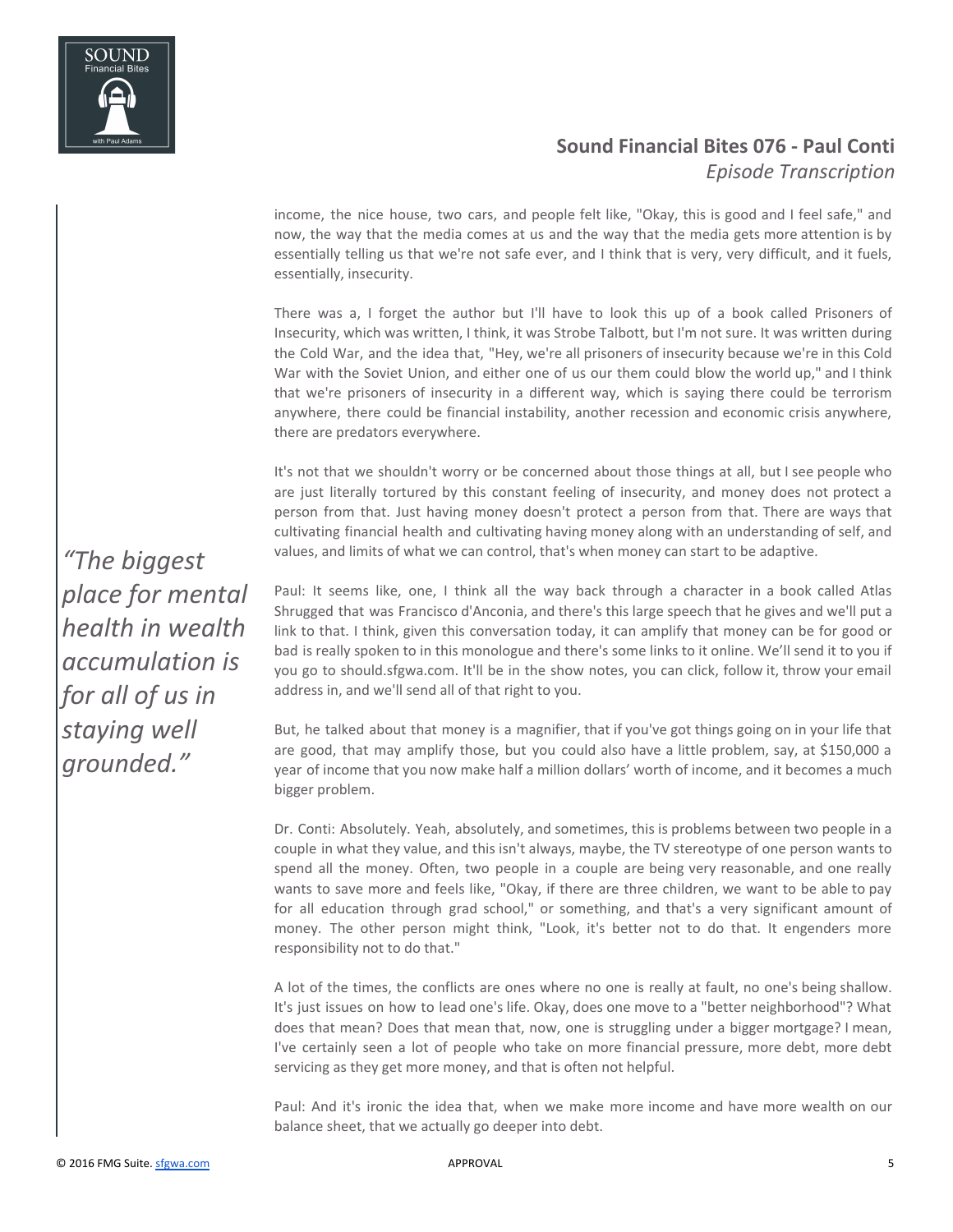

income, the nice house, two cars, and people felt like, "Okay, this is good and I feel safe," and now, the way that the media comes at us and the way that the media gets more attention is by essentially telling us that we're not safe ever, and I think that is very, very difficult, and it fuels, essentially, insecurity.

There was a, I forget the author but I'll have to look this up of a book called Prisoners of Insecurity, which was written, I think, it was Strobe Talbott, but I'm not sure. It was written during the Cold War, and the idea that, "Hey, we're all prisoners of insecurity because we're in this Cold War with the Soviet Union, and either one of us our them could blow the world up," and I think that we're prisoners of insecurity in a different way, which is saying there could be terrorism anywhere, there could be financial instability, another recession and economic crisis anywhere, there are predators everywhere.

It's not that we shouldn't worry or be concerned about those things at all, but I see people who are just literally tortured by this constant feeling of insecurity, and money does not protect a person from that. Just having money doesn't protect a person from that. There are ways that cultivating financial health and cultivating having money along with an understanding of self, and values, and limits of what we can control, that's when money can start to be adaptive.

*"The biggest place for mental health in wealth accumulation is for all of us in staying well grounded."*

Paul: It seems like, one, I think all the way back through a character in a book called Atlas Shrugged that was Francisco d'Anconia, and there's this large speech that he gives and we'll put a link to that. I think, given this conversation today, it can amplify that money can be for good or bad is really spoken to in this monologue and there's some links to it online. We'll send it to you if you go to should.sfgwa.com. It'll be in the show notes, you can click, follow it, throw your email address in, and we'll send all of that right to you.

But, he talked about that money is a magnifier, that if you've got things going on in your life that are good, that may amplify those, but you could also have a little problem, say, at \$150,000 a year of income that you now make half a million dollars' worth of income, and it becomes a much bigger problem.

Dr. Conti: Absolutely. Yeah, absolutely, and sometimes, this is problems between two people in a couple in what they value, and this isn't always, maybe, the TV stereotype of one person wants to spend all the money. Often, two people in a couple are being very reasonable, and one really wants to save more and feels like, "Okay, if there are three children, we want to be able to pay for all education through grad school," or something, and that's a very significant amount of money. The other person might think, "Look, it's better not to do that. It engenders more responsibility not to do that."

A lot of the times, the conflicts are ones where no one is really at fault, no one's being shallow. It's just issues on how to lead one's life. Okay, does one move to a "better neighborhood"? What does that mean? Does that mean that, now, one is struggling under a bigger mortgage? I mean, I've certainly seen a lot of people who take on more financial pressure, more debt, more debt servicing as they get more money, and that is often not helpful.

Paul: And it's ironic the idea that, when we make more income and have more wealth on our balance sheet, that we actually go deeper into debt.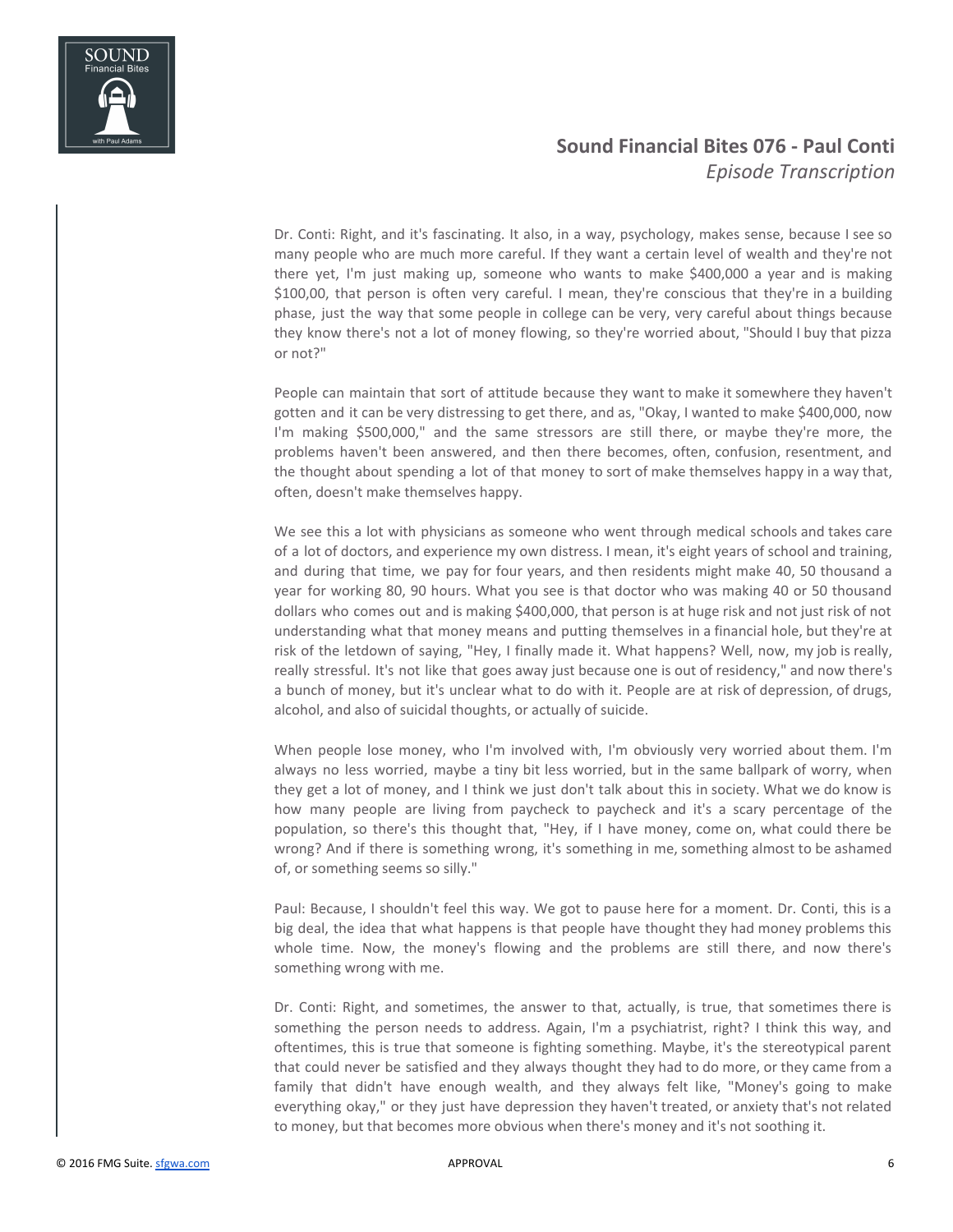

Dr. Conti: Right, and it's fascinating. It also, in a way, psychology, makes sense, because I see so many people who are much more careful. If they want a certain level of wealth and they're not there yet, I'm just making up, someone who wants to make \$400,000 a year and is making \$100,00, that person is often very careful. I mean, they're conscious that they're in a building phase, just the way that some people in college can be very, very careful about things because they know there's not a lot of money flowing, so they're worried about, "Should I buy that pizza or not?"

People can maintain that sort of attitude because they want to make it somewhere they haven't gotten and it can be very distressing to get there, and as, "Okay, I wanted to make \$400,000, now I'm making \$500,000," and the same stressors are still there, or maybe they're more, the problems haven't been answered, and then there becomes, often, confusion, resentment, and the thought about spending a lot of that money to sort of make themselves happy in a way that, often, doesn't make themselves happy.

We see this a lot with physicians as someone who went through medical schools and takes care of a lot of doctors, and experience my own distress. I mean, it's eight years of school and training, and during that time, we pay for four years, and then residents might make 40, 50 thousand a year for working 80, 90 hours. What you see is that doctor who was making 40 or 50 thousand dollars who comes out and is making \$400,000, that person is at huge risk and not just risk of not understanding what that money means and putting themselves in a financial hole, but they're at risk of the letdown of saying, "Hey, I finally made it. What happens? Well, now, my job is really, really stressful. It's not like that goes away just because one is out of residency," and now there's a bunch of money, but it's unclear what to do with it. People are at risk of depression, of drugs, alcohol, and also of suicidal thoughts, or actually of suicide.

When people lose money, who I'm involved with, I'm obviously very worried about them. I'm always no less worried, maybe a tiny bit less worried, but in the same ballpark of worry, when they get a lot of money, and I think we just don't talk about this in society. What we do know is how many people are living from paycheck to paycheck and it's a scary percentage of the population, so there's this thought that, "Hey, if I have money, come on, what could there be wrong? And if there is something wrong, it's something in me, something almost to be ashamed of, or something seems so silly."

Paul: Because, I shouldn't feel this way. We got to pause here for a moment. Dr. Conti, this is a big deal, the idea that what happens is that people have thought they had money problems this whole time. Now, the money's flowing and the problems are still there, and now there's something wrong with me.

Dr. Conti: Right, and sometimes, the answer to that, actually, is true, that sometimes there is something the person needs to address. Again, I'm a psychiatrist, right? I think this way, and oftentimes, this is true that someone is fighting something. Maybe, it's the stereotypical parent that could never be satisfied and they always thought they had to do more, or they came from a family that didn't have enough wealth, and they always felt like, "Money's going to make everything okay," or they just have depression they haven't treated, or anxiety that's not related to money, but that becomes more obvious when there's money and it's not soothing it.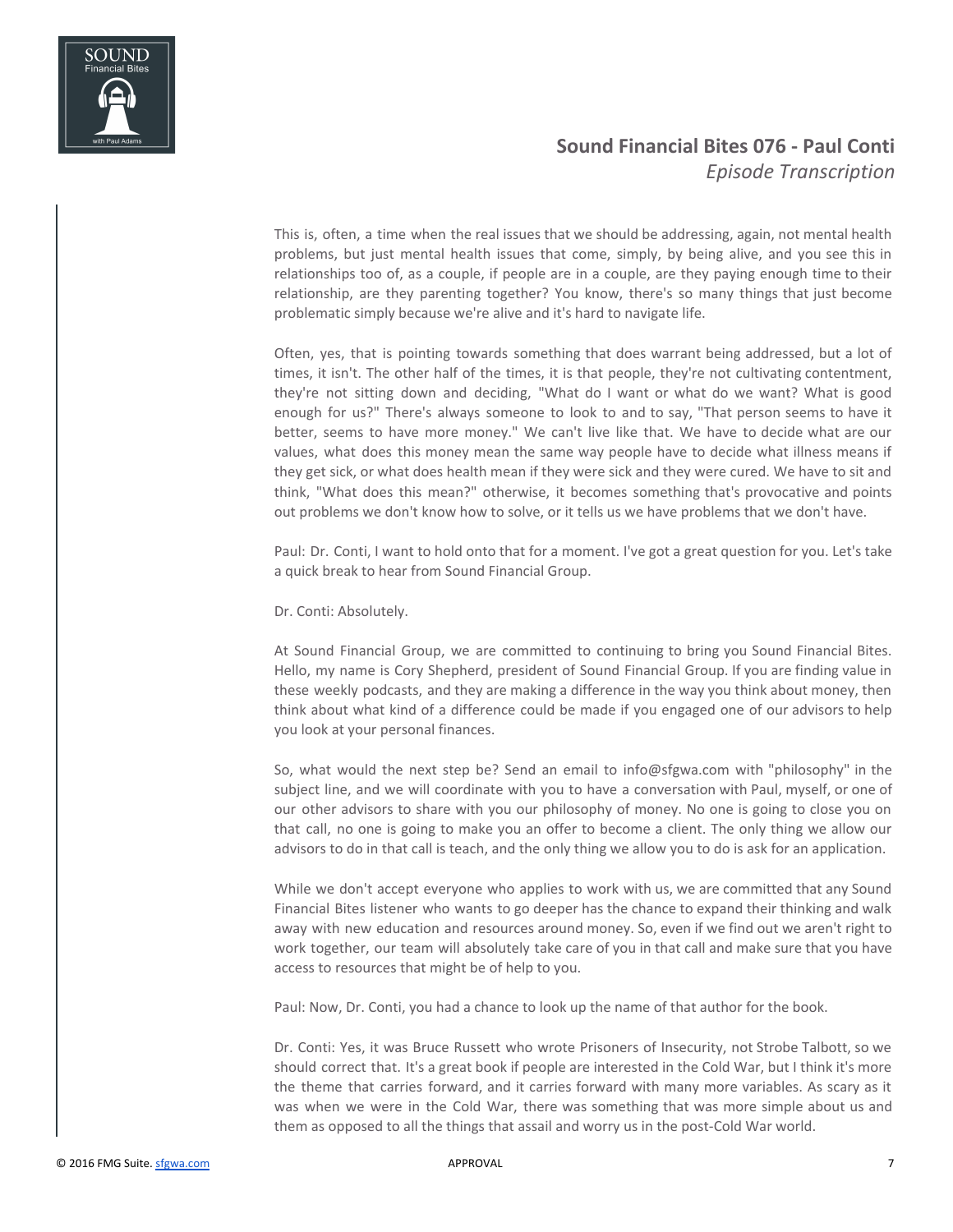

This is, often, a time when the real issues that we should be addressing, again, not mental health problems, but just mental health issues that come, simply, by being alive, and you see this in relationships too of, as a couple, if people are in a couple, are they paying enough time to their relationship, are they parenting together? You know, there's so many things that just become problematic simply because we're alive and it's hard to navigate life.

Often, yes, that is pointing towards something that does warrant being addressed, but a lot of times, it isn't. The other half of the times, it is that people, they're not cultivating contentment, they're not sitting down and deciding, "What do I want or what do we want? What is good enough for us?" There's always someone to look to and to say, "That person seems to have it better, seems to have more money." We can't live like that. We have to decide what are our values, what does this money mean the same way people have to decide what illness means if they get sick, or what does health mean if they were sick and they were cured. We have to sit and think, "What does this mean?" otherwise, it becomes something that's provocative and points out problems we don't know how to solve, or it tells us we have problems that we don't have.

Paul: Dr. Conti, I want to hold onto that for a moment. I've got a great question for you. Let's take a quick break to hear from Sound Financial Group.

Dr. Conti: Absolutely.

At Sound Financial Group, we are committed to continuing to bring you Sound Financial Bites. Hello, my name is Cory Shepherd, president of Sound Financial Group. If you are finding value in these weekly podcasts, and they are making a difference in the way you think about money, then think about what kind of a difference could be made if you engaged one of our advisors to help you look at your personal finances.

So, what would the next step be? Send an email to info@sfgwa.com with "philosophy" in the subject line, and we will coordinate with you to have a conversation with Paul, myself, or one of our other advisors to share with you our philosophy of money. No one is going to close you on that call, no one is going to make you an offer to become a client. The only thing we allow our advisors to do in that call is teach, and the only thing we allow you to do is ask for an application.

While we don't accept everyone who applies to work with us, we are committed that any Sound Financial Bites listener who wants to go deeper has the chance to expand their thinking and walk away with new education and resources around money. So, even if we find out we aren't right to work together, our team will absolutely take care of you in that call and make sure that you have access to resources that might be of help to you.

Paul: Now, Dr. Conti, you had a chance to look up the name of that author for the book.

Dr. Conti: Yes, it was Bruce Russett who wrote Prisoners of Insecurity, not Strobe Talbott, so we should correct that. It's a great book if people are interested in the Cold War, but I think it's more the theme that carries forward, and it carries forward with many more variables. As scary as it was when we were in the Cold War, there was something that was more simple about us and them as opposed to all the things that assail and worry us in the post-Cold War world.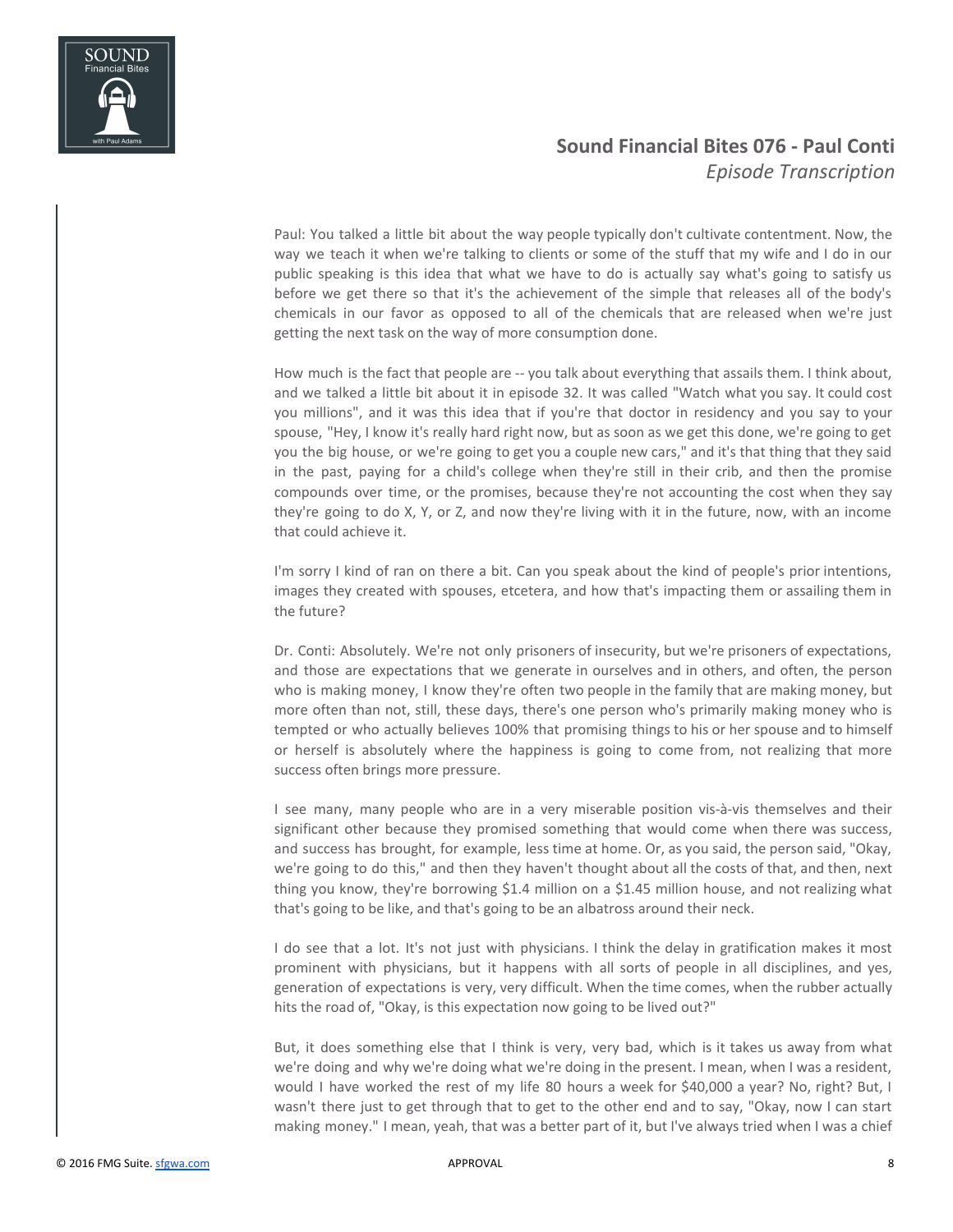

Paul: You talked a little bit about the way people typically don't cultivate contentment. Now, the way we teach it when we're talking to clients or some of the stuff that my wife and I do in our public speaking is this idea that what we have to do is actually say what's going to satisfy us before we get there so that it's the achievement of the simple that releases all of the body's chemicals in our favor as opposed to all of the chemicals that are released when we're just getting the next task on the way of more consumption done.

How much is the fact that people are -- you talk about everything that assails them. I think about, and we talked a little bit about it in episode 32. It was called "Watch what you say. It could cost you millions", and it was this idea that if you're that doctor in residency and you say to your spouse, "Hey, I know it's really hard right now, but as soon as we get this done, we're going to get you the big house, or we're going to get you a couple new cars," and it's that thing that they said in the past, paying for a child's college when they're still in their crib, and then the promise compounds over time, or the promises, because they're not accounting the cost when they say they're going to do X, Y, or Z, and now they're living with it in the future, now, with an income that could achieve it.

I'm sorry I kind of ran on there a bit. Can you speak about the kind of people's prior intentions, images they created with spouses, etcetera, and how that's impacting them or assailing them in the future?

Dr. Conti: Absolutely. We're not only prisoners of insecurity, but we're prisoners of expectations, and those are expectations that we generate in ourselves and in others, and often, the person who is making money, I know they're often two people in the family that are making money, but more often than not, still, these days, there's one person who's primarily making money who is tempted or who actually believes 100% that promising things to his or her spouse and to himself or herself is absolutely where the happiness is going to come from, not realizing that more success often brings more pressure.

I see many, many people who are in a very miserable position vis-à-vis themselves and their significant other because they promised something that would come when there was success, and success has brought, for example, less time at home. Or, as you said, the person said, "Okay, we're going to do this," and then they haven't thought about all the costs of that, and then, next thing you know, they're borrowing \$1.4 million on a \$1.45 million house, and not realizing what that's going to be like, and that's going to be an albatross around their neck.

I do see that a lot. It's not just with physicians. I think the delay in gratification makes it most prominent with physicians, but it happens with all sorts of people in all disciplines, and yes, generation of expectations is very, very difficult. When the time comes, when the rubber actually hits the road of, "Okay, is this expectation now going to be lived out?"

But, it does something else that I think is very, very bad, which is it takes us away from what we're doing and why we're doing what we're doing in the present. I mean, when I was a resident, would I have worked the rest of my life 80 hours a week for \$40,000 a year? No, right? But, I wasn't there just to get through that to get to the other end and to say, "Okay, now I can start making money." I mean, yeah, that was a better part of it, but I've always tried when I was a chief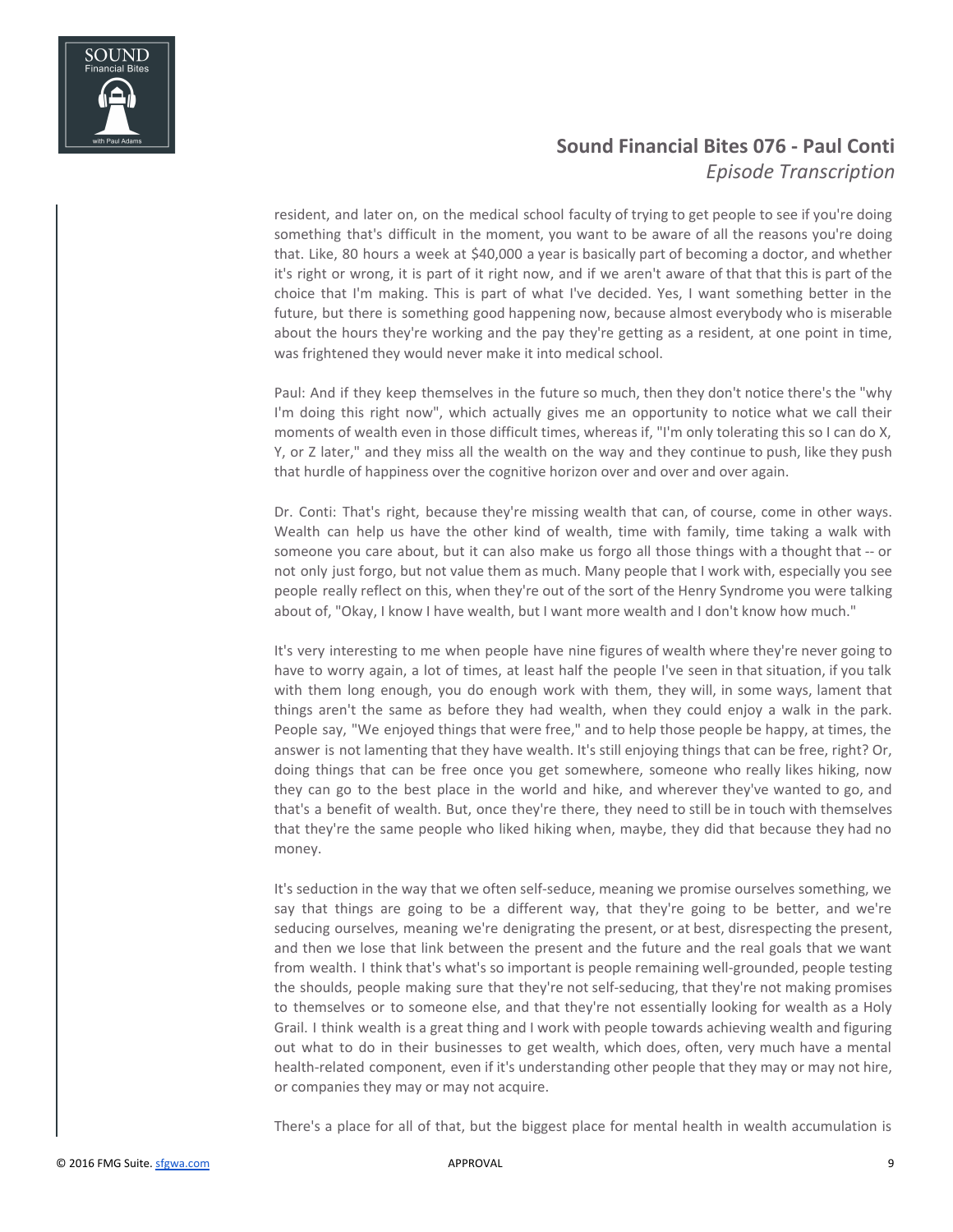

resident, and later on, on the medical school faculty of trying to get people to see if you're doing something that's difficult in the moment, you want to be aware of all the reasons you're doing that. Like, 80 hours a week at \$40,000 a year is basically part of becoming a doctor, and whether it's right or wrong, it is part of it right now, and if we aren't aware of that that this is part of the choice that I'm making. This is part of what I've decided. Yes, I want something better in the future, but there is something good happening now, because almost everybody who is miserable about the hours they're working and the pay they're getting as a resident, at one point in time, was frightened they would never make it into medical school.

Paul: And if they keep themselves in the future so much, then they don't notice there's the "why I'm doing this right now", which actually gives me an opportunity to notice what we call their moments of wealth even in those difficult times, whereas if, "I'm only tolerating this so I can do X, Y, or Z later," and they miss all the wealth on the way and they continue to push, like they push that hurdle of happiness over the cognitive horizon over and over and over again.

Dr. Conti: That's right, because they're missing wealth that can, of course, come in other ways. Wealth can help us have the other kind of wealth, time with family, time taking a walk with someone you care about, but it can also make us forgo all those things with a thought that -- or not only just forgo, but not value them as much. Many people that I work with, especially you see people really reflect on this, when they're out of the sort of the Henry Syndrome you were talking about of, "Okay, I know I have wealth, but I want more wealth and I don't know how much."

It's very interesting to me when people have nine figures of wealth where they're never going to have to worry again, a lot of times, at least half the people I've seen in that situation, if you talk with them long enough, you do enough work with them, they will, in some ways, lament that things aren't the same as before they had wealth, when they could enjoy a walk in the park. People say, "We enjoyed things that were free," and to help those people be happy, at times, the answer is not lamenting that they have wealth. It's still enjoying things that can be free, right? Or, doing things that can be free once you get somewhere, someone who really likes hiking, now they can go to the best place in the world and hike, and wherever they've wanted to go, and that's a benefit of wealth. But, once they're there, they need to still be in touch with themselves that they're the same people who liked hiking when, maybe, they did that because they had no money.

It's seduction in the way that we often self-seduce, meaning we promise ourselves something, we say that things are going to be a different way, that they're going to be better, and we're seducing ourselves, meaning we're denigrating the present, or at best, disrespecting the present, and then we lose that link between the present and the future and the real goals that we want from wealth. I think that's what's so important is people remaining well-grounded, people testing the shoulds, people making sure that they're not self-seducing, that they're not making promises to themselves or to someone else, and that they're not essentially looking for wealth as a Holy Grail. I think wealth is a great thing and I work with people towards achieving wealth and figuring out what to do in their businesses to get wealth, which does, often, very much have a mental health-related component, even if it's understanding other people that they may or may not hire, or companies they may or may not acquire.

There's a place for all of that, but the biggest place for mental health in wealth accumulation is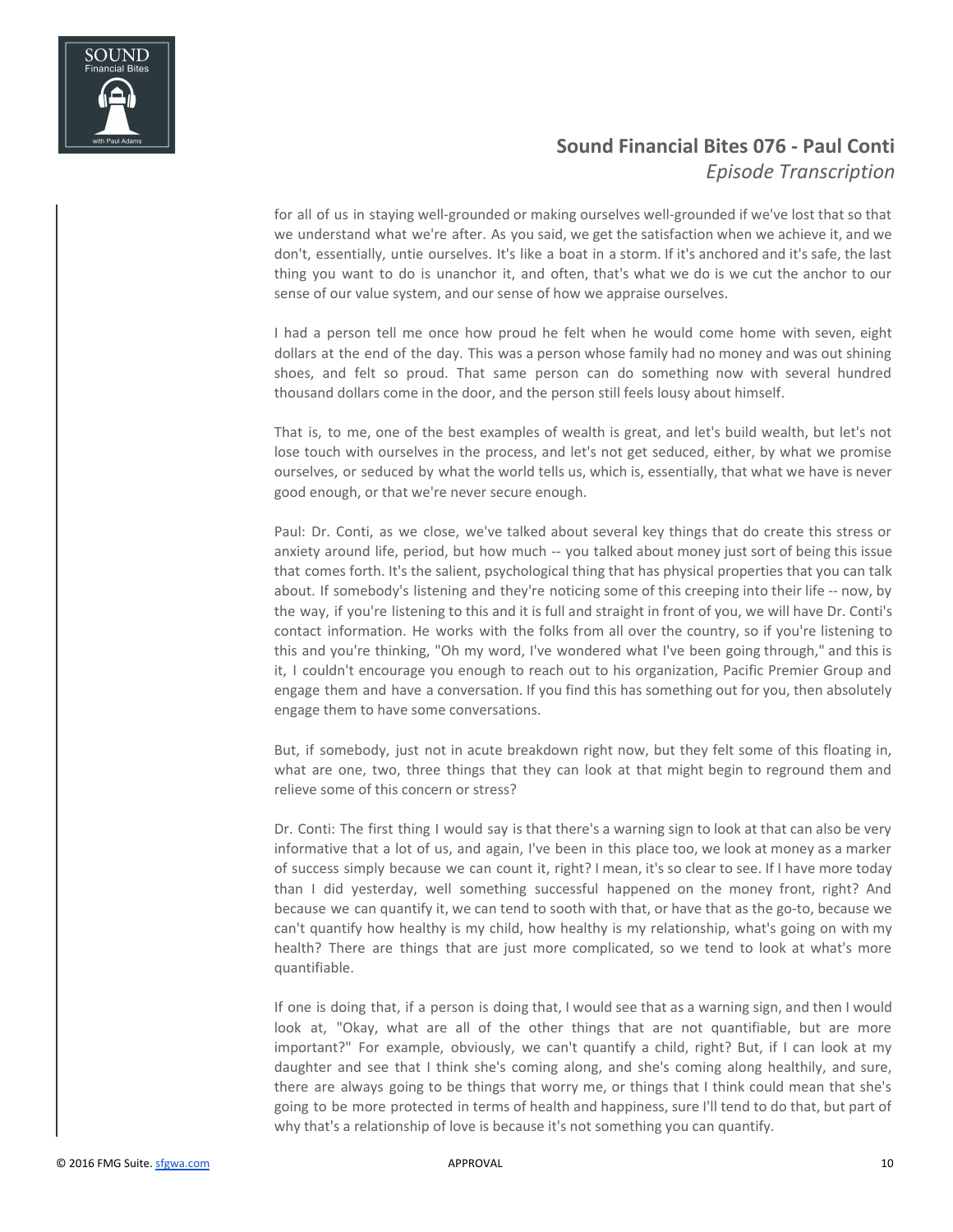

for all of us in staying well-grounded or making ourselves well-grounded if we've lost that so that we understand what we're after. As you said, we get the satisfaction when we achieve it, and we don't, essentially, untie ourselves. It's like a boat in a storm. If it's anchored and it's safe, the last thing you want to do is unanchor it, and often, that's what we do is we cut the anchor to our sense of our value system, and our sense of how we appraise ourselves.

I had a person tell me once how proud he felt when he would come home with seven, eight dollars at the end of the day. This was a person whose family had no money and was out shining shoes, and felt so proud. That same person can do something now with several hundred thousand dollars come in the door, and the person still feels lousy about himself.

That is, to me, one of the best examples of wealth is great, and let's build wealth, but let's not lose touch with ourselves in the process, and let's not get seduced, either, by what we promise ourselves, or seduced by what the world tells us, which is, essentially, that what we have is never good enough, or that we're never secure enough.

Paul: Dr. Conti, as we close, we've talked about several key things that do create this stress or anxiety around life, period, but how much -- you talked about money just sort of being this issue that comes forth. It's the salient, psychological thing that has physical properties that you can talk about. If somebody's listening and they're noticing some of this creeping into their life -- now, by the way, if you're listening to this and it is full and straight in front of you, we will have Dr. Conti's contact information. He works with the folks from all over the country, so if you're listening to this and you're thinking, "Oh my word, I've wondered what I've been going through," and this is it, I couldn't encourage you enough to reach out to his organization, Pacific Premier Group and engage them and have a conversation. If you find this has something out for you, then absolutely engage them to have some conversations.

But, if somebody, just not in acute breakdown right now, but they felt some of this floating in, what are one, two, three things that they can look at that might begin to reground them and relieve some of this concern or stress?

Dr. Conti: The first thing I would say is that there's a warning sign to look at that can also be very informative that a lot of us, and again, I've been in this place too, we look at money as a marker of success simply because we can count it, right? I mean, it's so clear to see. If I have more today than I did yesterday, well something successful happened on the money front, right? And because we can quantify it, we can tend to sooth with that, or have that as the go-to, because we can't quantify how healthy is my child, how healthy is my relationship, what's going on with my health? There are things that are just more complicated, so we tend to look at what's more quantifiable.

If one is doing that, if a person is doing that, I would see that as a warning sign, and then I would look at, "Okay, what are all of the other things that are not quantifiable, but are more important?" For example, obviously, we can't quantify a child, right? But, if I can look at my daughter and see that I think she's coming along, and she's coming along healthily, and sure, there are always going to be things that worry me, or things that I think could mean that she's going to be more protected in terms of health and happiness, sure I'll tend to do that, but part of why that's a relationship of love is because it's not something you can quantify.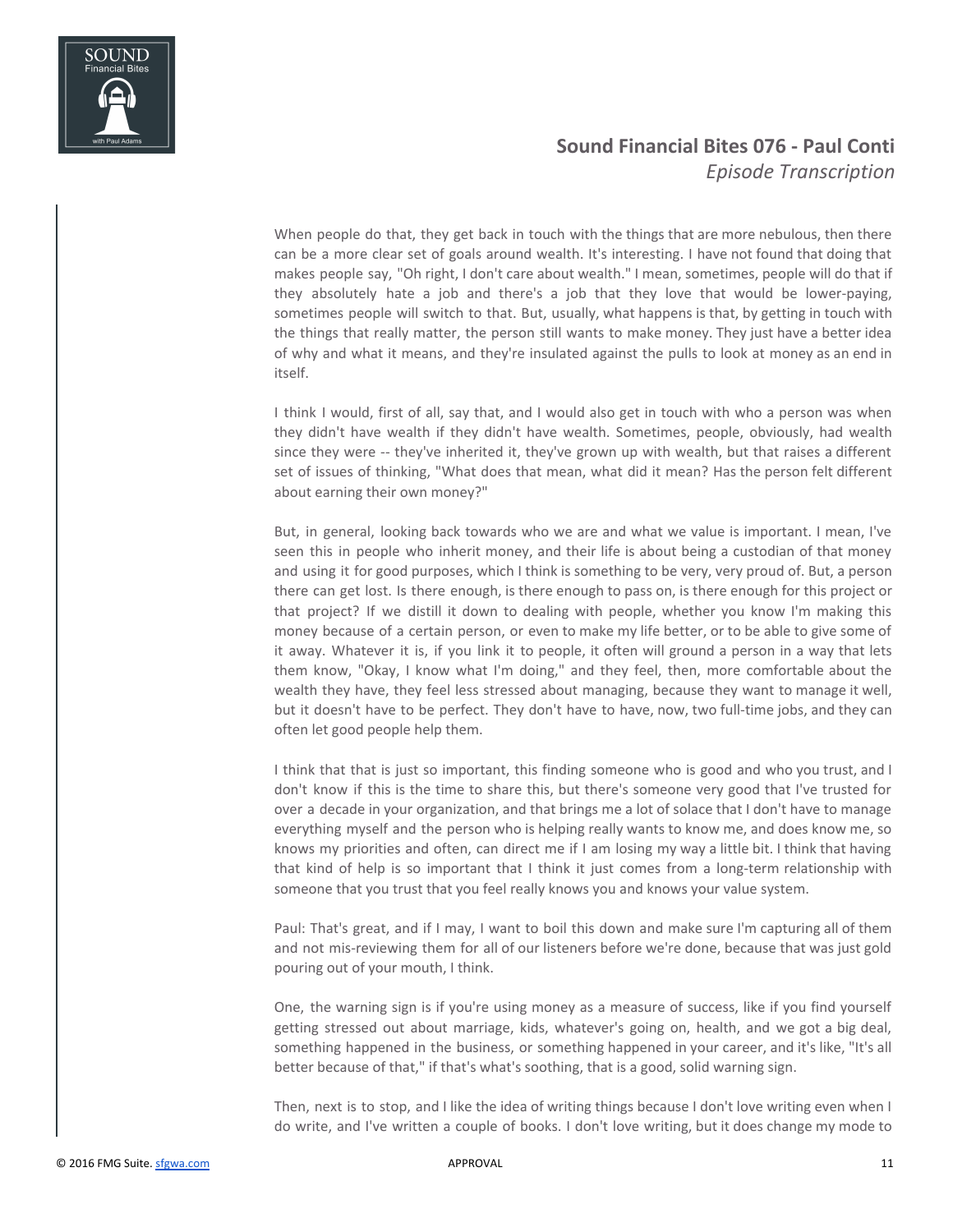

When people do that, they get back in touch with the things that are more nebulous, then there can be a more clear set of goals around wealth. It's interesting. I have not found that doing that makes people say, "Oh right, I don't care about wealth." I mean, sometimes, people will do that if they absolutely hate a job and there's a job that they love that would be lower-paying, sometimes people will switch to that. But, usually, what happens is that, by getting in touch with the things that really matter, the person still wants to make money. They just have a better idea of why and what it means, and they're insulated against the pulls to look at money as an end in itself.

I think I would, first of all, say that, and I would also get in touch with who a person was when they didn't have wealth if they didn't have wealth. Sometimes, people, obviously, had wealth since they were -- they've inherited it, they've grown up with wealth, but that raises a different set of issues of thinking, "What does that mean, what did it mean? Has the person felt different about earning their own money?"

But, in general, looking back towards who we are and what we value is important. I mean, I've seen this in people who inherit money, and their life is about being a custodian of that money and using it for good purposes, which I think is something to be very, very proud of. But, a person there can get lost. Is there enough, is there enough to pass on, is there enough for this project or that project? If we distill it down to dealing with people, whether you know I'm making this money because of a certain person, or even to make my life better, or to be able to give some of it away. Whatever it is, if you link it to people, it often will ground a person in a way that lets them know, "Okay, I know what I'm doing," and they feel, then, more comfortable about the wealth they have, they feel less stressed about managing, because they want to manage it well, but it doesn't have to be perfect. They don't have to have, now, two full-time jobs, and they can often let good people help them.

I think that that is just so important, this finding someone who is good and who you trust, and I don't know if this is the time to share this, but there's someone very good that I've trusted for over a decade in your organization, and that brings me a lot of solace that I don't have to manage everything myself and the person who is helping really wants to know me, and does know me, so knows my priorities and often, can direct me if I am losing my way a little bit. I think that having that kind of help is so important that I think it just comes from a long-term relationship with someone that you trust that you feel really knows you and knows your value system.

Paul: That's great, and if I may, I want to boil this down and make sure I'm capturing all of them and not mis-reviewing them for all of our listeners before we're done, because that was just gold pouring out of your mouth, I think.

One, the warning sign is if you're using money as a measure of success, like if you find yourself getting stressed out about marriage, kids, whatever's going on, health, and we got a big deal, something happened in the business, or something happened in your career, and it's like, "It's all better because of that," if that's what's soothing, that is a good, solid warning sign.

Then, next is to stop, and I like the idea of writing things because I don't love writing even when I do write, and I've written a couple of books. I don't love writing, but it does change my mode to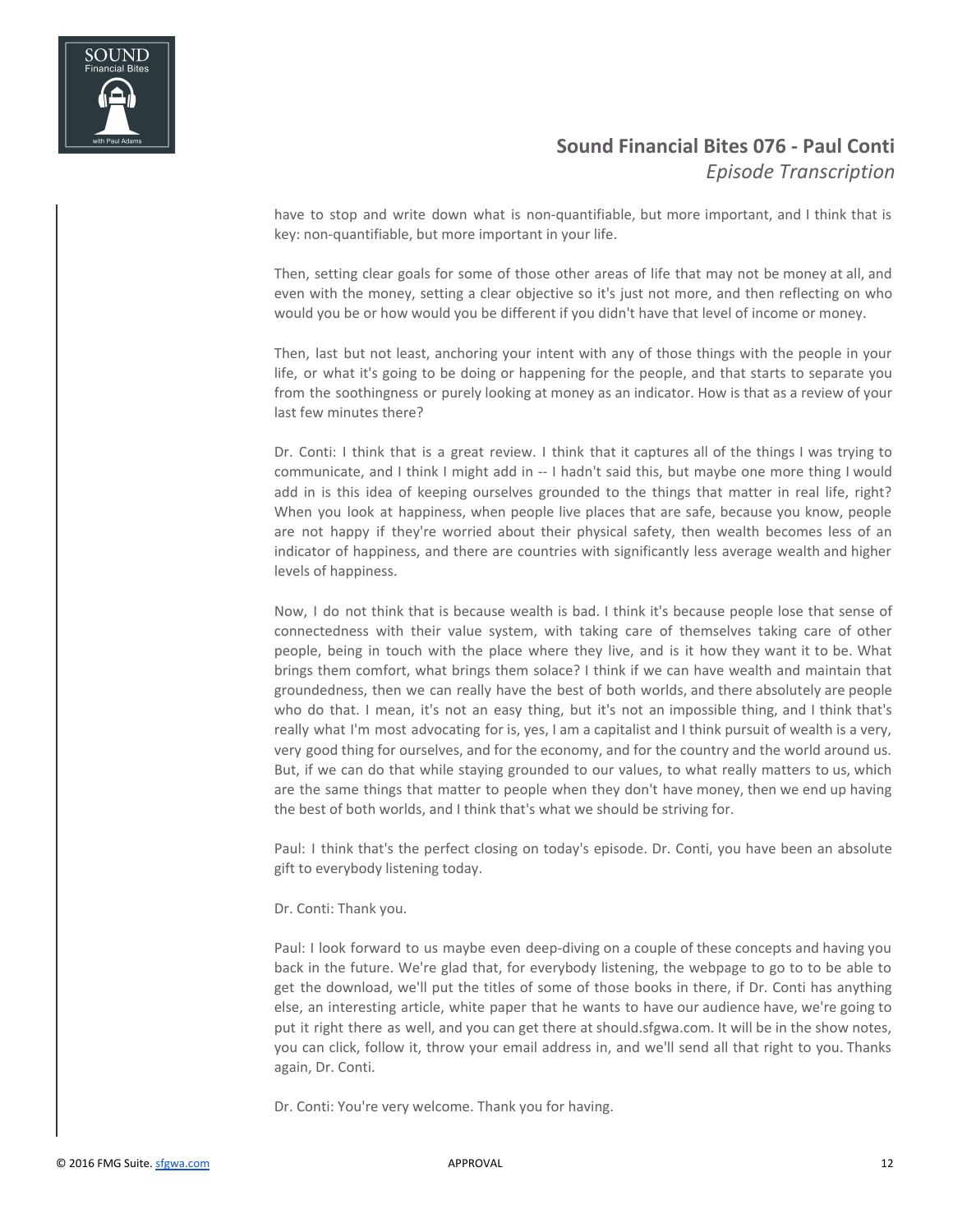

have to stop and write down what is non-quantifiable, but more important, and I think that is key: non-quantifiable, but more important in your life.

Then, setting clear goals for some of those other areas of life that may not be money at all, and even with the money, setting a clear objective so it's just not more, and then reflecting on who would you be or how would you be different if you didn't have that level of income or money.

Then, last but not least, anchoring your intent with any of those things with the people in your life, or what it's going to be doing or happening for the people, and that starts to separate you from the soothingness or purely looking at money as an indicator. How is that as a review of your last few minutes there?

Dr. Conti: I think that is a great review. I think that it captures all of the things I was trying to communicate, and I think I might add in -- I hadn't said this, but maybe one more thing I would add in is this idea of keeping ourselves grounded to the things that matter in real life, right? When you look at happiness, when people live places that are safe, because you know, people are not happy if they're worried about their physical safety, then wealth becomes less of an indicator of happiness, and there are countries with significantly less average wealth and higher levels of happiness.

Now, I do not think that is because wealth is bad. I think it's because people lose that sense of connectedness with their value system, with taking care of themselves taking care of other people, being in touch with the place where they live, and is it how they want it to be. What brings them comfort, what brings them solace? I think if we can have wealth and maintain that groundedness, then we can really have the best of both worlds, and there absolutely are people who do that. I mean, it's not an easy thing, but it's not an impossible thing, and I think that's really what I'm most advocating for is, yes, I am a capitalist and I think pursuit of wealth is a very, very good thing for ourselves, and for the economy, and for the country and the world around us. But, if we can do that while staying grounded to our values, to what really matters to us, which are the same things that matter to people when they don't have money, then we end up having the best of both worlds, and I think that's what we should be striving for.

Paul: I think that's the perfect closing on today's episode. Dr. Conti, you have been an absolute gift to everybody listening today.

#### Dr. Conti: Thank you.

Paul: I look forward to us maybe even deep-diving on a couple of these concepts and having you back in the future. We're glad that, for everybody listening, the webpage to go to to be able to get the download, we'll put the titles of some of those books in there, if Dr. Conti has anything else, an interesting article, white paper that he wants to have our audience have, we're going to put it right there as well, and you can get there at should.sfgwa.com. It will be in the show notes, you can click, follow it, throw your email address in, and we'll send all that right to you. Thanks again, Dr. Conti.

Dr. Conti: You're very welcome. Thank you for having.